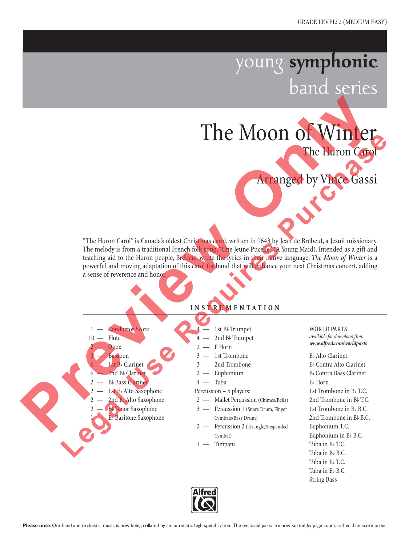## **ung symphonic** band series

The Moon of Winter The Huron Card

## Arranged by Vince Gassi

"The Huron Carol" is Canada's oldest Christmas carol, written in 1643 by Jean de Brébeuf, a Jesuit missionary. The melody is from a traditional French folk song, "Une Jeune Pucelle" (A Young Maid). Intended as a gift and teaching aid to the Huron people, Brébeuf wrote the lyrics in their native language. *The Moon of Winter* is a powerful and moving adaptation of this carol for band that will enhance your next Christmas concert, adding a sense of reverence and honor The Moon of Winter<br>
The Hornor Construction<br>
The Hornor Construction<br>
The Hornor Construction<br>
The Hornor Construction<br>
The Hornor Construction<br>
The Hornor Construction<br>
The Hornor Construction<br>
The Hornor Construction<br>
Th **LEGAL INCOULT OF VITTLE CRIP (THE NUTOUT OF VITTLE CRIP (The BRITON CRIP)**<br>
The Harron Carol's Canada's older Christines Canada's plate the method is from a radiitorial because the plane there there are the simple partie

- 1 Conductor Score 10 — Flute Oboe
	- **Bassoon** 1st  $B$  Clarinet
	- $6 2$ nd B $\sqrt{6}$ Clarinet
	- 2 B<sub>b</sub> Bass Clarinet
		- 1st Eb Alto Saxophone
		- 2nd Eb Alto Saxophone
		- **B** Tenor Saxophone
			- **E** Baritone Saxophone

## **i n s t r u m e n t a t i o n**

- 1st B<sub>b</sub> Trumpet
- $4 2$ nd B $\frac{1}{2}$ Trumpet
- 2 F Horn
- 3 1st Trombone
- 2nd Trombone
- 2 Euphonium
- 4 Tuba
- Percussion 5 players:
- 2 Mallet Percussion (Chimes/Bells)
- 3 Percussion 1 (Snare Drum, Finger Cymbals/Bass Drum)
- 2 Percussion 2 (Triangle/Suspended Cymbal)
- 1 Timpani

WORLD PARTS *available for download from www.alfred.com/worldparts*

E<sub>b</sub> Alto Clarinet El Contra Alto Clarinet B<sub>b</sub> Contra Bass Clarinet E<sub>b</sub> Horn 1st Trombone in  $B\flat$  T.C. 2nd Trombone in B<sub>b</sub> T.C. 1st Trombone in  $B \flat B.C.$ 2nd Trombone in B<sub>b</sub> B.C. Euphonium T.C. Euphonium in B<sub>b</sub> B.C. Tuba in B<sub>b</sub> T.C. Tuba in B<sub>b</sub> B.C. Tuba in E<sub>b</sub> T.C. Tuba in E<sub>b</sub> B.C.

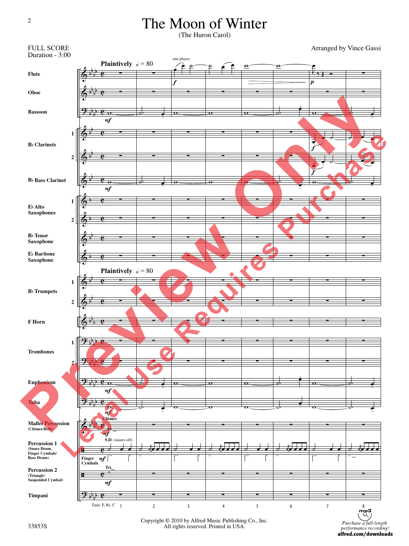The Moon of Winter

(The Huron Carol)



*Purchase a full-length*<br>*performance recording!*<br>**alfred.com/downloads**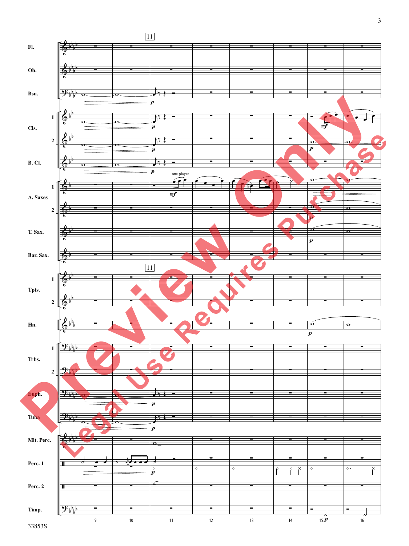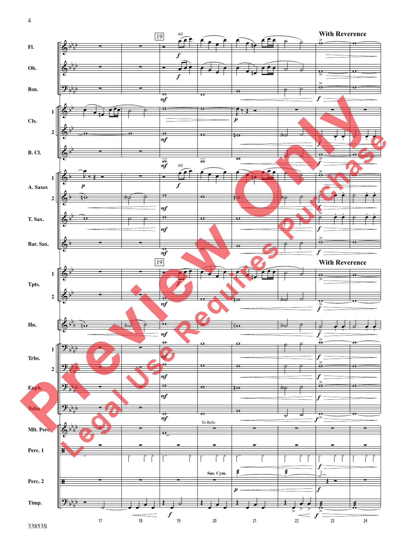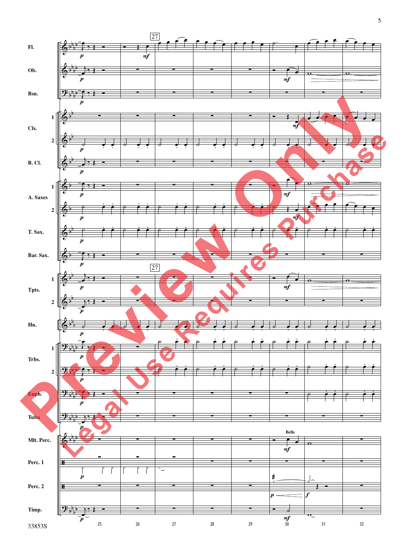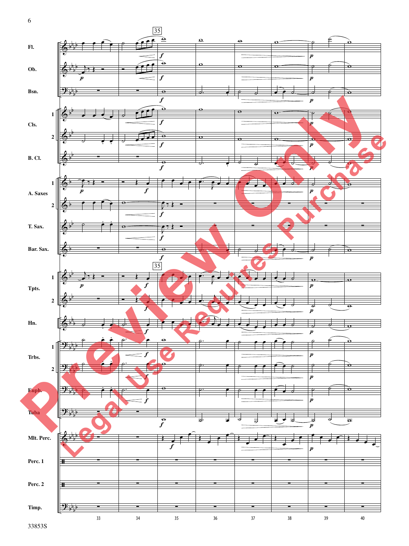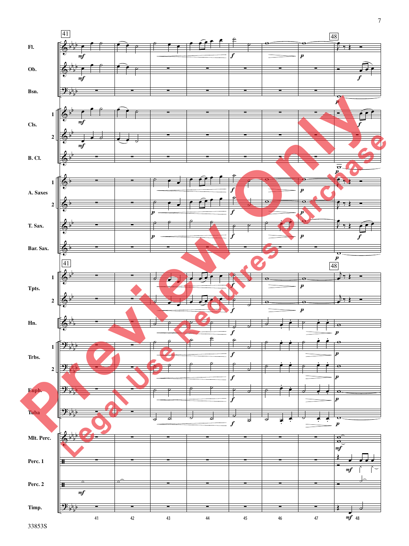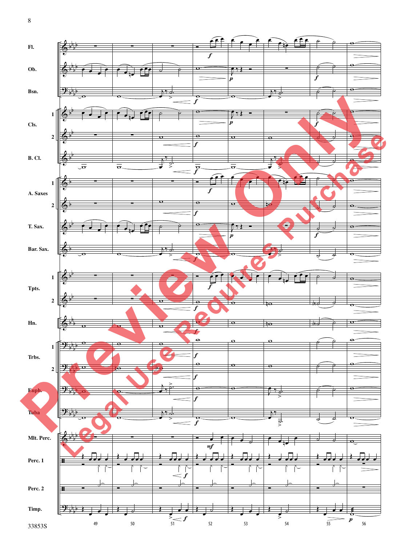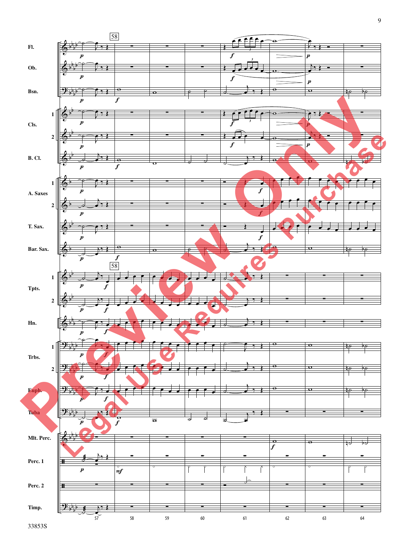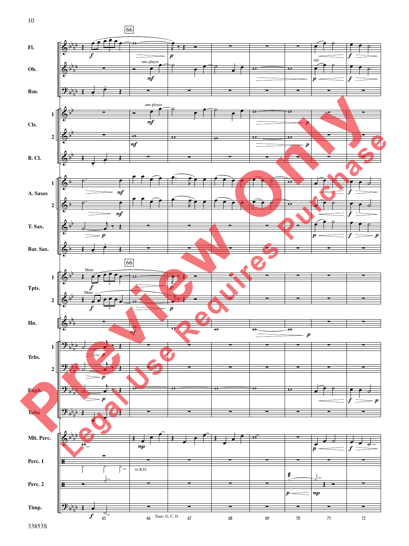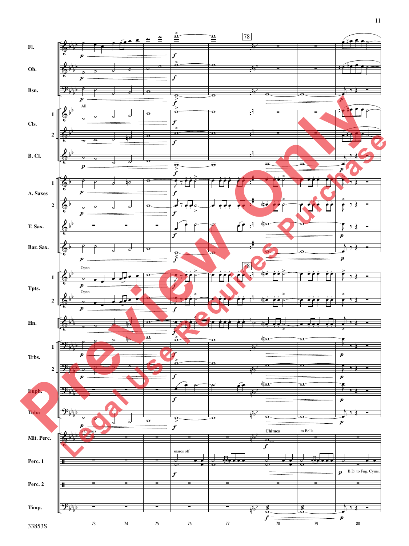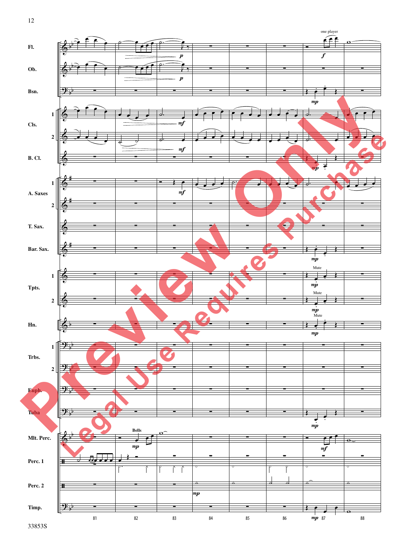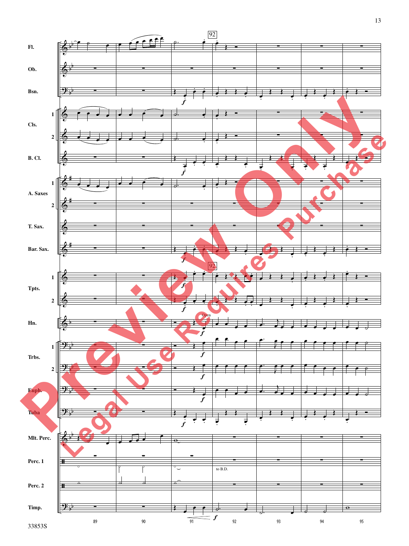![](_page_12_Figure_0.jpeg)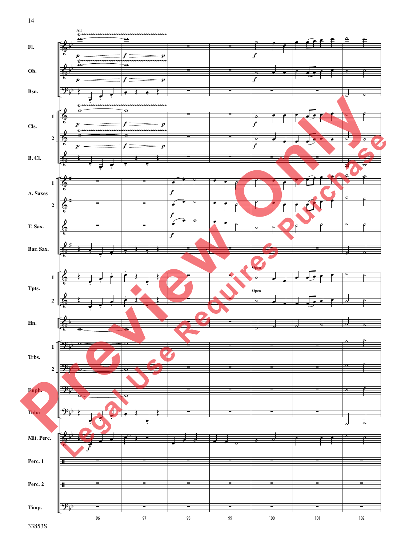![](_page_13_Figure_0.jpeg)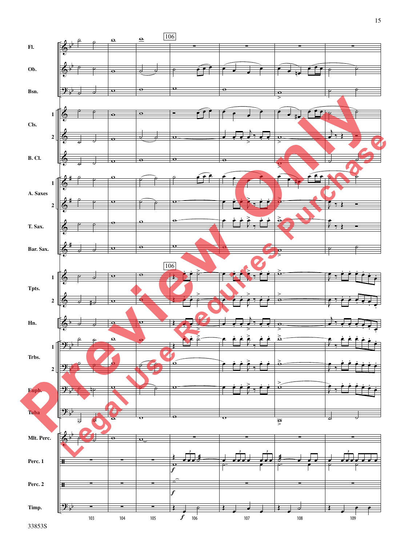![](_page_14_Figure_0.jpeg)

33853S